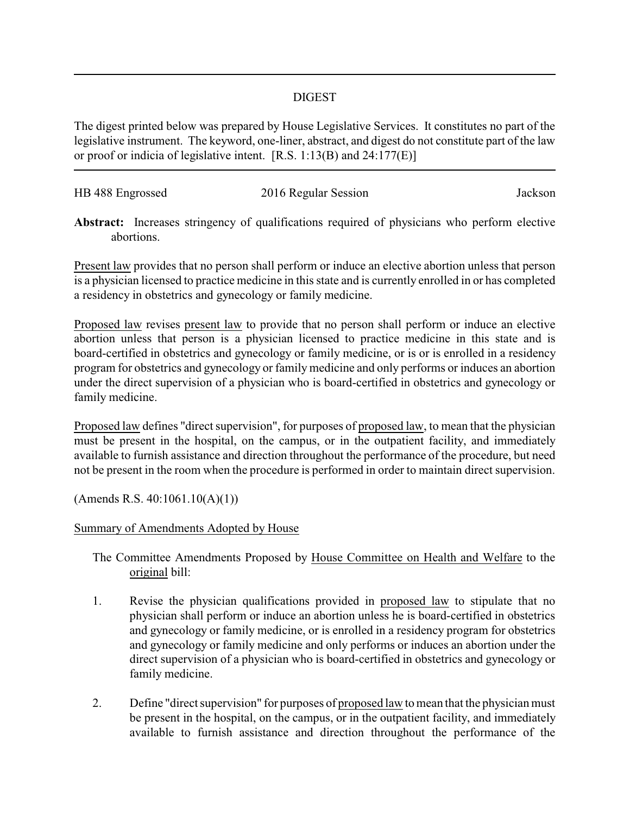## DIGEST

The digest printed below was prepared by House Legislative Services. It constitutes no part of the legislative instrument. The keyword, one-liner, abstract, and digest do not constitute part of the law or proof or indicia of legislative intent. [R.S. 1:13(B) and 24:177(E)]

| HB 488 Engrossed | 2016 Regular Session | Jackson |
|------------------|----------------------|---------|
|                  |                      |         |

**Abstract:** Increases stringency of qualifications required of physicians who perform elective abortions.

Present law provides that no person shall perform or induce an elective abortion unless that person is a physician licensed to practice medicine in this state and is currently enrolled in or has completed a residency in obstetrics and gynecology or family medicine.

Proposed law revises present law to provide that no person shall perform or induce an elective abortion unless that person is a physician licensed to practice medicine in this state and is board-certified in obstetrics and gynecology or family medicine, or is or is enrolled in a residency program for obstetrics and gynecology or family medicine and only performs or induces an abortion under the direct supervision of a physician who is board-certified in obstetrics and gynecology or family medicine.

Proposed law defines "direct supervision", for purposes of proposed law, to mean that the physician must be present in the hospital, on the campus, or in the outpatient facility, and immediately available to furnish assistance and direction throughout the performance of the procedure, but need not be present in the room when the procedure is performed in order to maintain direct supervision.

(Amends R.S. 40:1061.10(A)(1))

## Summary of Amendments Adopted by House

The Committee Amendments Proposed by House Committee on Health and Welfare to the original bill:

- 1. Revise the physician qualifications provided in proposed law to stipulate that no physician shall perform or induce an abortion unless he is board-certified in obstetrics and gynecology or family medicine, or is enrolled in a residency program for obstetrics and gynecology or family medicine and only performs or induces an abortion under the direct supervision of a physician who is board-certified in obstetrics and gynecology or family medicine.
- 2. Define "direct supervision" for purposes of proposed law to mean that the physician must be present in the hospital, on the campus, or in the outpatient facility, and immediately available to furnish assistance and direction throughout the performance of the